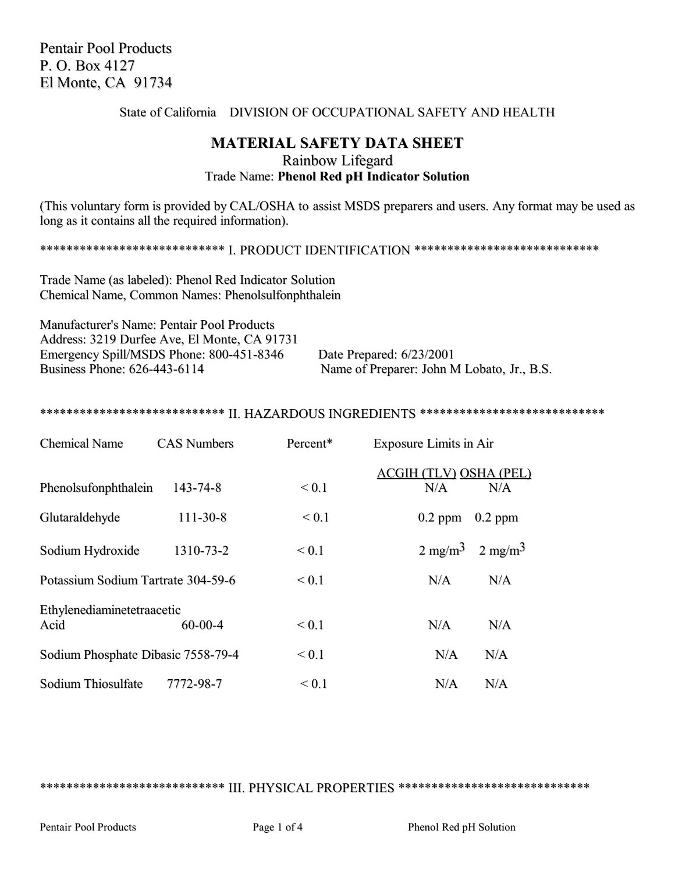Pentair Pool Products P. O. Box 4127 El Monte, CA 91734

#### State of California DIVISION OF OCCUPATIONAL SAFETY AND HEALTH

# **MATERIAL SAFETY DATA SHEET** Rainbow Lifegard Trade Name: **Phenol Red pH Indicator Solution**

(This voluntary form is provided by CAL/OSHA to assist MSDS preparers and users. Any format may be used as long as it contains all the required information).

\*\*\*\*\*\*\*\*\*\*\*\*\*\*\*\*\*\*\*\*\*\*\*\*\*\*\*\* I. PRODUCT IDENTIFICATION \*\*\*\*\*\*\*\*\*\*\*\*\*\*\*\*\*\*\*\*\*\*\*\*\*\*\*\*

Trade Name (as labeled): Phenol Red Indicator Solution Chemical Name, Common Names: Phenolsulfonphthalein

Manufacturer's Name: Pentair Pool Products Address: 3219 Durfee Ave, El Monte, CA 91731 Emergency Spill/MSDS Phone: 800-451-8346 Date Prepared: 6/23/2001<br>Business Phone: 626-443-6114 Name of Preparer: John N

Name of Preparer: John M Lobato, Jr., B.S.

#### \*\*\*\*\*\*\*\*\*\*\*\*\*\*\*\*\*\*\*\*\*\*\*\*\*\*\*\*\* II. HAZARDOUS INGREDIENTS \*\*\*\*\*\*\*\*\*\*\*\*\*\*\*\*\*\*\*\*\*\*\*\*\*\*\*\*\*

| <b>Chemical Name</b>               | <b>CAS Numbers</b> | Percent*   | <b>Exposure Limits in Air</b>               |
|------------------------------------|--------------------|------------|---------------------------------------------|
| Phenolsufonphthalein               | $143 - 74 - 8$     | ${}_{0.1}$ | <b>ACGIH (TLV) OSHA (PEL)</b><br>N/A<br>N/A |
| Glutaraldehyde                     | $111 - 30 - 8$     | ${}_{0.1}$ | $0.2$ ppm<br>$0.2$ ppm                      |
| Sodium Hydroxide                   | 1310-73-2          | ${}_{0.1}$ | $2 \text{ mg/m}^3$<br>$2 \text{ mg/m}^3$    |
| Potassium Sodium Tartrate 304-59-6 |                    | ${}_{0.1}$ | N/A<br>N/A                                  |
| Ethylenediaminetetraacetic<br>Acid | $60 - 00 - 4$      | ${}_{0.1}$ | N/A<br>N/A                                  |
| Sodium Phosphate Dibasic 7558-79-4 |                    | ${}_{0.1}$ | N/A<br>N/A                                  |
| Sodium Thiosulfate                 | 7772-98-7          | ${}_{0.1}$ | N/A<br>N/A                                  |

\*\*\*\*\*\*\*\*\*\*\*\*\*\*\*\*\*\*\*\*\*\*\*\*\*\*\*\* III. PHYSICAL PROPERTIES \*\*\*\*\*\*\*\*\*\*\*\*\*\*\*\*\*\*\*\*\*\*\*\*\*\*\*\*\*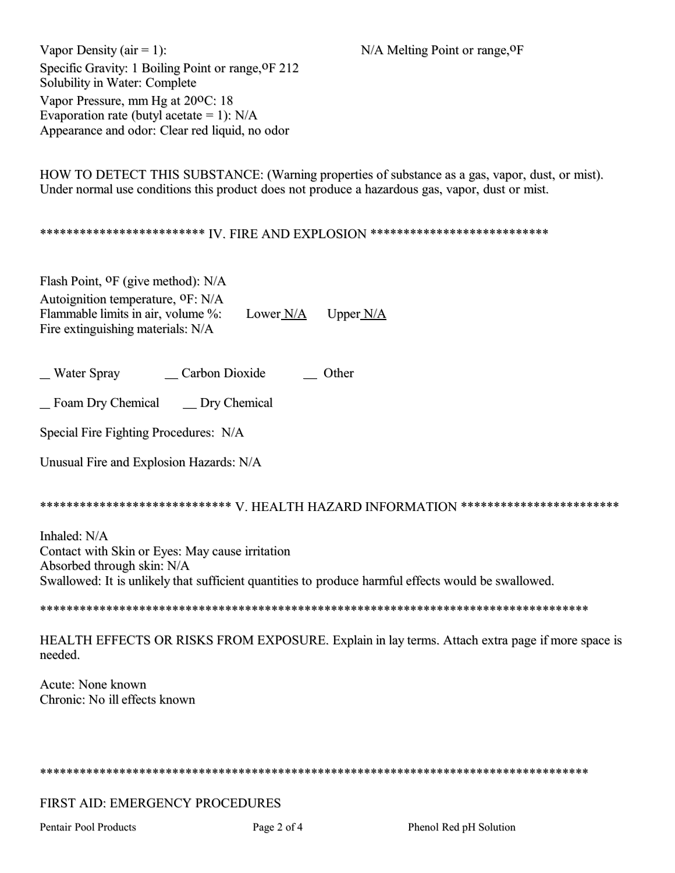N/A Melting Point or range, OF

Vapor Density ( $air = 1$ ): Specific Gravity: 1 Boiling Point or range, OF 212 Solubility in Water: Complete Vapor Pressure, mm Hg at 200C: 18 Evaporation rate (butyl acetate = 1):  $N/A$ Appearance and odor: Clear red liquid, no odor

HOW TO DETECT THIS SUBSTANCE: (Warning properties of substance as a gas, vapor, dust, or mist). Under normal use conditions this product does not produce a hazardous gas, vapor, dust or mist.

# \*\*\*\*\*\*\*\*\*\*\*\*\*\*\*\*\*\*\*\*\*\*\*\*\*\* IV FIRE AND EXPLOSION \*\*\*\*\*\*\*\*\*\*\*\*\*\*\*\*\*\*\*\*\*\*\*\*\*\*\*\*\*

Flash Point, <sup>O</sup>F (give method): N/A Autoignition temperature, <sup>O</sup>F: N/A Flammable limits in air, volume %: Lower N/A Upper  $N/A$ Fire extinguishing materials: N/A

\_ Water Spray Carbon Dioxide \_\_\_\_\_\_ Other

\_\_ Dry Chemical Foam Dry Chemical

Special Fire Fighting Procedures: N/A

Unusual Fire and Explosion Hazards: N/A

# \*\*\*\*\*\*\*\*\*\*\*\*\*\*\*\*\*\*\*\*\*\*\*\*\*\*\*\*\* V. HEALTH HAZARD INFORMATION \*\*\*\*\*\*\*\*\*\*\*\*\*\*\*\*\*\*\*\*\*\*\*\*\*

Inhaled: N/A Contact with Skin or Eyes: May cause irritation Absorbed through skin: N/A Swallowed: It is unlikely that sufficient quantities to produce harmful effects would be swallowed.

HEALTH EFFECTS OR RISKS FROM EXPOSURE. Explain in lay terms. Attach extra page if more space is needed.

Acute: None known Chronic: No ill effects known

# FIRST AID: EMERGENCY PROCEDURES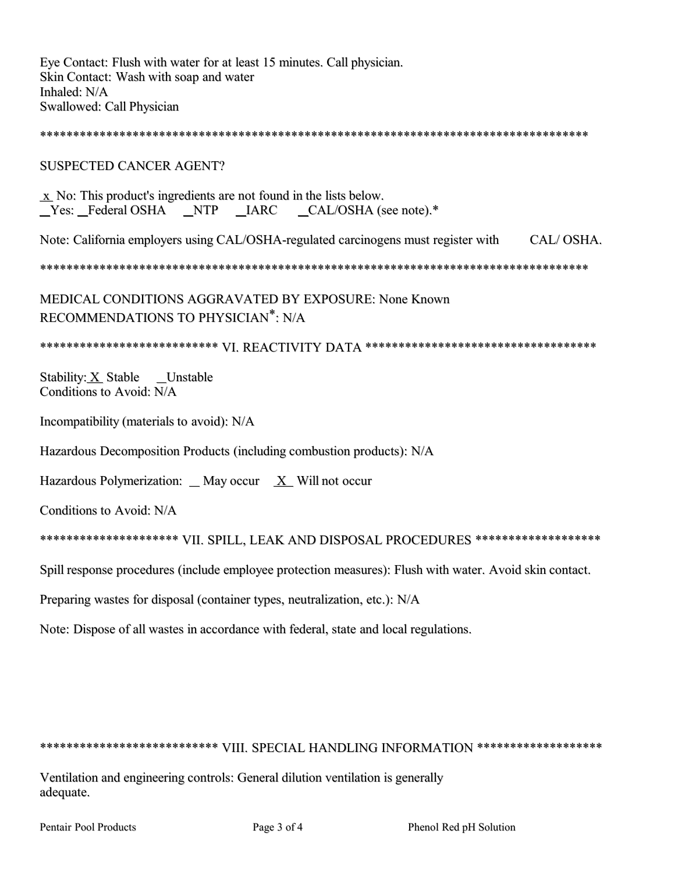Eye Contact: Flush with water for at least 15 minutes. Call physician. Skin Contact: Wash with soap and water Inhaled: N/A Swallowed: Call Physician

### **SUSPECTED CANCER AGENT?**

 $\bar{x}$  No: This product's ingredients are not found in the lists below. \_Yes: \_Federal OSHA \_NTP \_IARC \_CAL/OSHA (see note).\*

CAL/OSHA. Note: California employers using CAL/OSHA-regulated carcinogens must register with

MEDICAL CONDITIONS AGGRAVATED BY EXPOSURE: None Known RECOMMENDATIONS TO PHYSICIAN<sup>\*</sup>: N/A

\*\*\*\*\*\*\*\*\*\*\*\*\*\*\*\*\*\*\*\*\*\*\*\*\*\*\* VI. REACTIVITY DATA \*\*\*\*\*\*\*\*\*\*\*\*\*\*\*\*\*\*\*\*\*\*\*\*\*\*\*\*\*\*\*\*\*

Stability: X Stable Unstable Conditions to Avoid: N/A

Incompatibility (materials to avoid): N/A

Hazardous Decomposition Products (including combustion products): N/A

Hazardous Polymerization:  $\Box$  May occur  $X$  Will not occur

Conditions to Avoid: N/A

\*\*\*\*\*\*\*\*\*\*\*\*\*\*\*\*\*\*\*\*\* VII. SPILL, LEAK AND DISPOSAL PROCEDURES \*\*\*\*\*\*\*\*\*\*\*\*\*\*\*\*\*\*

Spill response procedures (include employee protection measures): Flush with water. Avoid skin contact.

Preparing wastes for disposal (container types, neutralization, etc.): N/A

Note: Dispose of all wastes in accordance with federal, state and local regulations.

### \*\*\*\*\*\*\*\*\*\*\*\*\*\*\*\*\*\*\*\*\*\*\*\*\*\* VIII. SPECIAL HANDLING INFORMATION \*\*\*\*\*\*\*\*\*\*\*\*\*\*\*\*\*\*\*

Ventilation and engineering controls: General dilution ventilation is generally adequate.